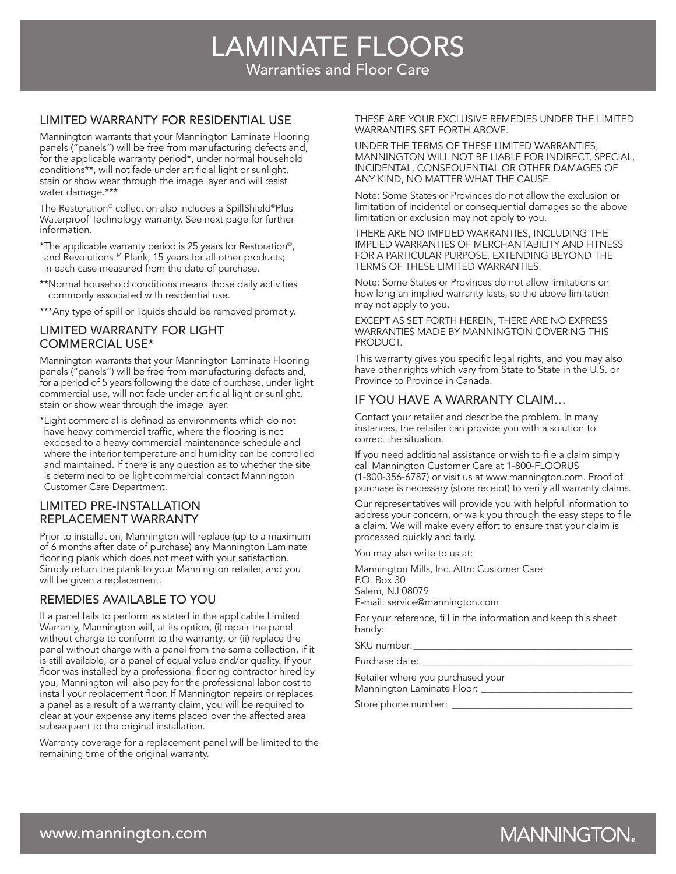### LAMINATE FLOORS Warranties and Floor Care

#### LIMITED WARRANTY FOR RESIDENTIAL USE

Mannington warrants that your Mannington Laminate Flooring panels ("panels") will be free from manufacturing defects and, for the applicable warranty period\*, under normal household conditions\*\*, will not fade under artificial light or sunlight, stain or show wear through the image layer and will resist water damage.\*\*\*

The Restoration® collection also includes a SpillShield®Plus Waterproof Technology warranty. See next page for further information.

- \*The applicable warranty period is 25 years for Restoration®, and Revolutions™ Plank; 15 years for all other products; in each case measured from the date of purchase.
- \*\*Normal household conditions means those daily activities commonly associated with residential use.
- \*\*\*Any type of spill or liquids should be removed promptly.

#### LIMITED WARRANTY FOR LIGHT COMMERCIAL USE\*

Mannington warrants that your Mannington Laminate Flooring panels ("panels") will be free from manufacturing defects and, for a period of 5 years following the date of purchase, under light commercial use, will not fade under artificial light or sunlight, stain or show wear through the image layer.

\*Light commercial is defined as environments which do not have heavy commercial traffic, where the flooring is not exposed to a heavy commercial maintenance schedule and where the interior temperature and humidity can be controlled and maintained. If there is any question as to whether the site is determined to be light commercial contact Mannington Customer Care Department.

#### LIMITED PRE-INSTALLATION REPLACEMENT WARRANTY

Prior to installation, Mannington will replace (up to a maximum of 6 months after date of purchase) any Mannington Laminate flooring plank which does not meet with your satisfaction. Simply return the plank to your Mannington retailer, and you will be given a replacement.

#### REMEDIES AVAILABLE TO YOU

If a panel fails to perform as stated in the applicable Limited Warranty, Mannington will, at its option, (i) repair the panel without charge to conform to the warranty; or (ii) replace the panel without charge with a panel from the same collection, if it is still available, or a panel of equal value and/or quality. If your floor was installed by a professional flooring contractor hired by you, Mannington will also pay for the professional labor cost to install your replacement floor. If Mannington repairs or replaces a panel as a result of a warranty claim, you will be required to clear at your expense any items placed over the affected area subsequent to the original installation.

Warranty coverage for a replacement panel will be limited to the remaining time of the original warranty.

THESE ARE YOUR EXCLUSIVE REMEDIES UNDER THE LIMITED WARRANTIES SET FORTH ABOVE.

UNDER THE TERMS OF THESE LIMITED WARRANTIES, MANNINGTON WILL NOT BE LIABLE FOR INDIRECT, SPECIAL, INCIDENTAL, CONSEQUENTIAL OR OTHER DAMAGES OF ANY KIND, NO MATTER WHAT THE CAUSE.

Note: Some States or Provinces do not allow the exclusion or limitation of incidental or consequential damages so the above limitation or exclusion may not apply to you.

THERE ARE NO IMPLIED WARRANTIES, INCLUDING THE IMPLIED WARRANTIES OF MERCHANTABILITY AND FITNESS FOR A PARTICULAR PURPOSE, EXTENDING BEYOND THE TERMS OF THESE LIMITED WARRANTIES.

Note: Some States or Provinces do not allow limitations on how long an implied warranty lasts, so the above limitation may not apply to you.

EXCEPT AS SET FORTH HEREIN, THERE ARE NO EXPRESS WARRANTIES MADE BY MANNINGTON COVERING THIS PRODUCT.

This warranty gives you specific legal rights, and you may also have other rights which vary from State to State in the U.S. or Province to Province in Canada.

#### IF YOU HAVE A WARRANTY CLAIM…

Contact your retailer and describe the problem. In many instances, the retailer can provide you with a solution to correct the situation.

If you need additional assistance or wish to file a claim simply call Mannington Customer Care at 1-800-FLOORUS (1-800-356-6787) or visit us at www.mannington.com. Proof of purchase is necessary (store receipt) to verify all warranty claims.

Our representatives will provide you with helpful information to address your concern, or walk you through the easy steps to file a claim. We will make every effort to ensure that your claim is processed quickly and fairly.

You may also write to us at:

Mannington Mills, Inc. Attn: Customer Care P.O. Box 30 Salem, NJ 08079 E-mail: service@mannington.com

For your reference, fill in the information and keep this sheet handy:

SKU number:

Purchase date:

Retailer where you purchased your Mannington Laminate Floor: \_\_\_\_\_

Store phone number: \_\_\_\_\_\_\_\_\_\_\_\_\_\_\_\_\_\_\_\_\_\_\_\_\_\_\_\_\_\_\_\_\_\_\_\_\_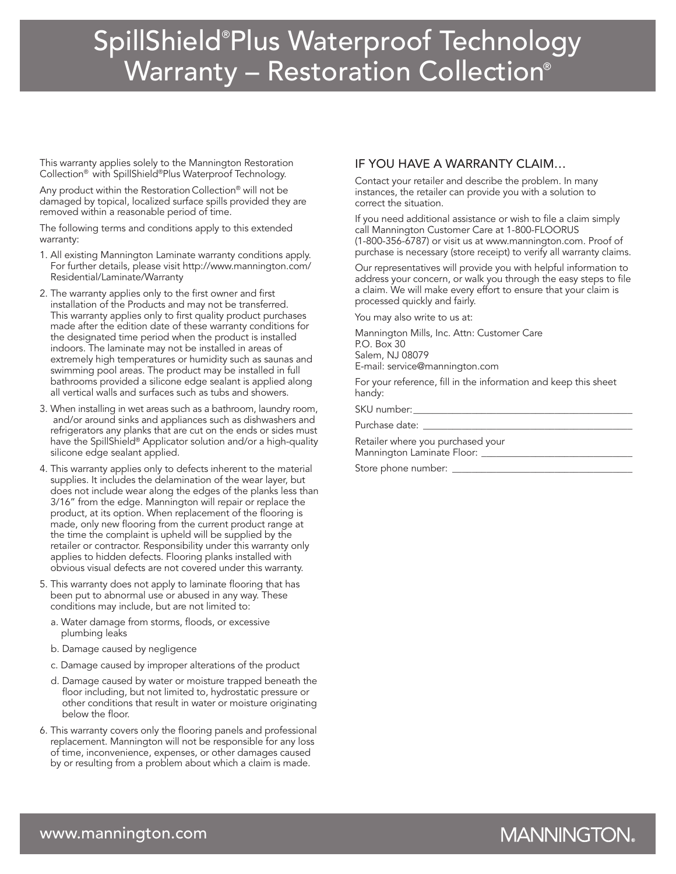# SpillShield® Plus Waterproof Technology Warranty – Restoration Collection®

This warranty applies solely to the Mannington Restoration Collection® with SpillShield®Plus Waterproof Technology.

Any product within the Restoration Collection® will not be damaged by topical, localized surface spills provided they are removed within a reasonable period of time.

The following terms and conditions apply to this extended warranty:

- 1. All existing Mannington Laminate warranty conditions apply. For further details, please visit http://www.mannington.com/ Residential/Laminate/Warranty
- 2. The warranty applies only to the first owner and first installation of the Products and may not be transferred. This warranty applies only to first quality product purchases made after the edition date of these warranty conditions for the designated time period when the product is installed indoors. The laminate may not be installed in areas of extremely high temperatures or humidity such as saunas and swimming pool areas. The product may be installed in full bathrooms provided a silicone edge sealant is applied along all vertical walls and surfaces such as tubs and showers.
- 3. When installing in wet areas such as a bathroom, laundry room, and/or around sinks and appliances such as dishwashers and refrigerators any planks that are cut on the ends or sides must have the SpillShield® Applicator solution and/or a high-quality silicone edge sealant applied.
- 4. This warranty applies only to defects inherent to the material supplies. It includes the delamination of the wear layer, but does not include wear along the edges of the planks less than 3/16" from the edge. Mannington will repair or replace the product, at its option. When replacement of the flooring is made, only new flooring from the current product range at the time the complaint is upheld will be supplied by the retailer or contractor. Responsibility under this warranty only applies to hidden defects. Flooring planks installed with obvious visual defects are not covered under this warranty.
- 5. This warranty does not apply to laminate flooring that has been put to abnormal use or abused in any way. These conditions may include, but are not limited to:
	- a. Water damage from storms, floods, or excessive plumbing leaks
	- b. Damage caused by negligence
	- c. Damage caused by improper alterations of the product
	- d. Damage caused by water or moisture trapped beneath the floor including, but not limited to, hydrostatic pressure or other conditions that result in water or moisture originating below the floor.
- 6. This warranty covers only the flooring panels and professional replacement. Mannington will not be responsible for any loss of time, inconvenience, expenses, or other damages caused by or resulting from a problem about which a claim is made.

#### IF YOU HAVE A WARRANTY CLAIM…

Contact your retailer and describe the problem. In many instances, the retailer can provide you with a solution to correct the situation.

If you need additional assistance or wish to file a claim simply call Mannington Customer Care at 1-800-FLOORUS (1-800-356-6787) or visit us at www.mannington.com. Proof of purchase is necessary (store receipt) to verify all warranty claims.

Our representatives will provide you with helpful information to address your concern, or walk you through the easy steps to file a claim. We will make every effort to ensure that your claim is processed quickly and fairly.

You may also write to us at:

Mannington Mills, Inc. Attn: Customer Care P.O. Box 30 Salem, NJ 08079 E-mail: service@mannington.com

For your reference, fill in the information and keep this sheet handy:

SKU number:

Purchase date:

Retailer where you purchased your Mannington Laminate Floor: \_\_\_\_\_\_\_\_\_\_\_\_\_\_\_\_\_\_\_\_\_\_\_\_\_\_\_\_\_\_\_

Store phone number:

## **MANNINGTON.**